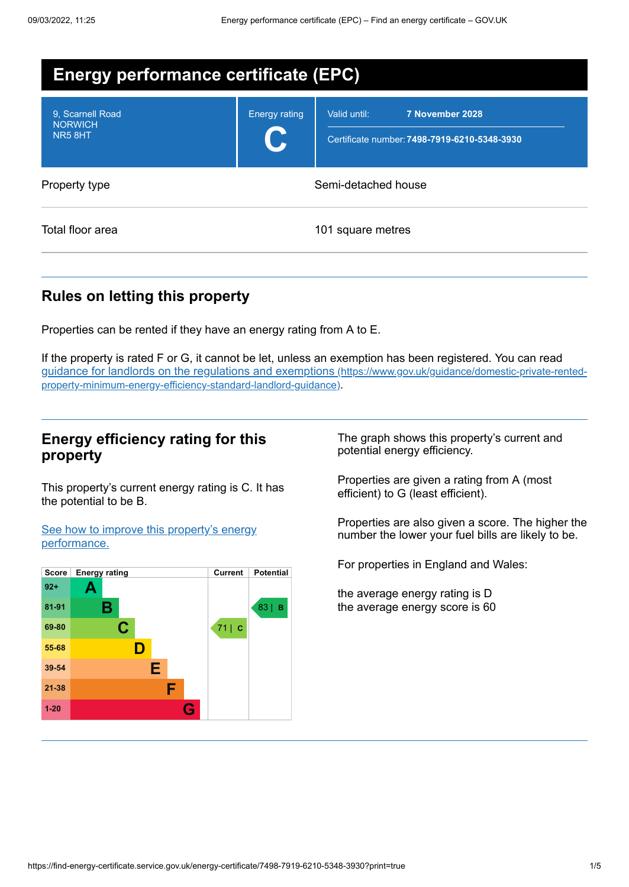| <b>Energy performance certificate (EPC)</b>  |                      |                                                                                 |  |
|----------------------------------------------|----------------------|---------------------------------------------------------------------------------|--|
| 9. Scarnell Road<br><b>NORWICH</b><br>NR58HT | <b>Energy rating</b> | 7 November 2028<br>Valid until:<br>Certificate number: 7498-7919-6210-5348-3930 |  |
| Property type                                |                      | Semi-detached house                                                             |  |
| Total floor area                             |                      | 101 square metres                                                               |  |

# **Rules on letting this property**

Properties can be rented if they have an energy rating from A to E.

If the property is rated F or G, it cannot be let, unless an exemption has been registered. You can read guidance for landlords on the regulations and exemptions (https://www.gov.uk/guidance/domestic-private-rented[property-minimum-energy-efficiency-standard-landlord-guidance\)](https://www.gov.uk/guidance/domestic-private-rented-property-minimum-energy-efficiency-standard-landlord-guidance).

## **Energy efficiency rating for this property**

This property's current energy rating is C. It has the potential to be B.

See how to improve this property's energy [performance.](#page-2-0)



The graph shows this property's current and potential energy efficiency.

Properties are given a rating from A (most efficient) to G (least efficient).

Properties are also given a score. The higher the number the lower your fuel bills are likely to be.

For properties in England and Wales:

the average energy rating is D the average energy score is 60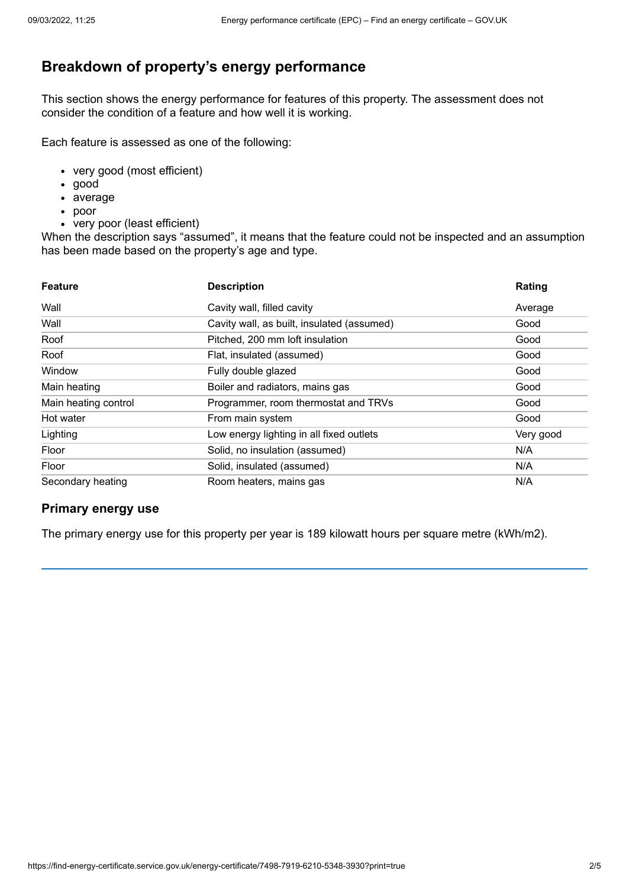# **Breakdown of property's energy performance**

This section shows the energy performance for features of this property. The assessment does not consider the condition of a feature and how well it is working.

Each feature is assessed as one of the following:

- very good (most efficient)
- good
- average
- poor
- very poor (least efficient)

When the description says "assumed", it means that the feature could not be inspected and an assumption has been made based on the property's age and type.

| <b>Feature</b>       | <b>Description</b>                         | Rating    |
|----------------------|--------------------------------------------|-----------|
| Wall                 | Cavity wall, filled cavity                 | Average   |
| Wall                 | Cavity wall, as built, insulated (assumed) | Good      |
| Roof                 | Pitched, 200 mm loft insulation            | Good      |
| Roof                 | Flat, insulated (assumed)                  | Good      |
| Window               | Fully double glazed                        | Good      |
| Main heating         | Boiler and radiators, mains gas            | Good      |
| Main heating control | Programmer, room thermostat and TRVs       | Good      |
| Hot water            | From main system                           | Good      |
| Lighting             | Low energy lighting in all fixed outlets   | Very good |
| Floor                | Solid, no insulation (assumed)             | N/A       |
| Floor                | Solid, insulated (assumed)                 | N/A       |
| Secondary heating    | Room heaters, mains gas                    | N/A       |

## **Primary energy use**

The primary energy use for this property per year is 189 kilowatt hours per square metre (kWh/m2).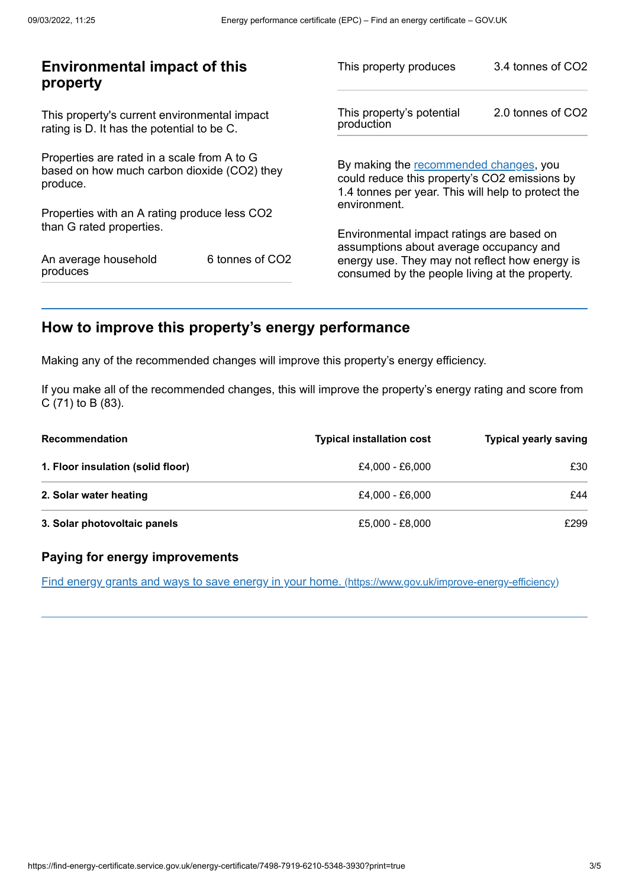| <b>Environmental impact of this</b><br>property                                                        |                 | This property produces                                                                                                                        | 3.4 tonnes of CO2 |
|--------------------------------------------------------------------------------------------------------|-----------------|-----------------------------------------------------------------------------------------------------------------------------------------------|-------------------|
| This property's current environmental impact<br>rating is D. It has the potential to be C.             |                 | This property's potential<br>production                                                                                                       | 2.0 tonnes of CO2 |
| Properties are rated in a scale from A to G<br>based on how much carbon dioxide (CO2) they<br>produce. |                 | By making the recommended changes, you<br>could reduce this property's CO2 emissions by<br>1.4 tonnes per year. This will help to protect the |                   |
| Properties with an A rating produce less CO2                                                           |                 | environment.                                                                                                                                  |                   |
| than G rated properties.                                                                               |                 | Environmental impact ratings are based on<br>assumptions about average occupancy and                                                          |                   |
| An average household<br>produces                                                                       | 6 tonnes of CO2 | energy use. They may not reflect how energy is<br>consumed by the people living at the property.                                              |                   |
|                                                                                                        |                 |                                                                                                                                               |                   |

# <span id="page-2-0"></span>**How to improve this property's energy performance**

Making any of the recommended changes will improve this property's energy efficiency.

If you make all of the recommended changes, this will improve the property's energy rating and score from C (71) to B (83).

| <b>Recommendation</b>             | <b>Typical installation cost</b> | <b>Typical yearly saving</b> |
|-----------------------------------|----------------------------------|------------------------------|
| 1. Floor insulation (solid floor) | £4.000 - £6.000                  | £30                          |
| 2. Solar water heating            | £4.000 - £6.000                  | £44                          |
| 3. Solar photovoltaic panels      | £5,000 - £8,000                  | £299                         |

## **Paying for energy improvements**

Find energy grants and ways to save energy in your home. [\(https://www.gov.uk/improve-energy-efficiency\)](https://www.gov.uk/improve-energy-efficiency)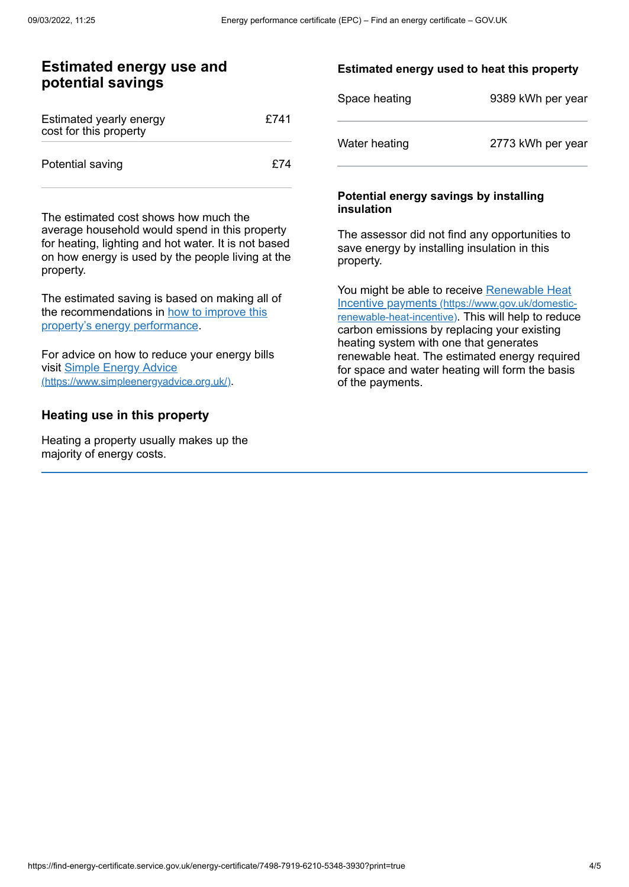## **Estimated energy use and potential savings**

| Estimated yearly energy<br>cost for this property | £741 |
|---------------------------------------------------|------|
| Potential saving                                  | f74  |

The estimated cost shows how much the average household would spend in this property for heating, lighting and hot water. It is not based on how energy is used by the people living at the property.

The estimated saving is based on making all of the [recommendations](#page-2-0) in how to improve this property's energy performance.

For advice on how to reduce your energy bills visit Simple Energy Advice [\(https://www.simpleenergyadvice.org.uk/\)](https://www.simpleenergyadvice.org.uk/).

#### **Heating use in this property**

Heating a property usually makes up the majority of energy costs.

#### **Estimated energy used to heat this property**

| Space heating | 9389 kWh per year |
|---------------|-------------------|
| Water heating | 2773 kWh per year |

#### **Potential energy savings by installing insulation**

The assessor did not find any opportunities to save energy by installing insulation in this property.

You might be able to receive Renewable Heat Incentive payments [\(https://www.gov.uk/domestic](https://www.gov.uk/domestic-renewable-heat-incentive)renewable-heat-incentive). This will help to reduce carbon emissions by replacing your existing heating system with one that generates renewable heat. The estimated energy required for space and water heating will form the basis of the payments.